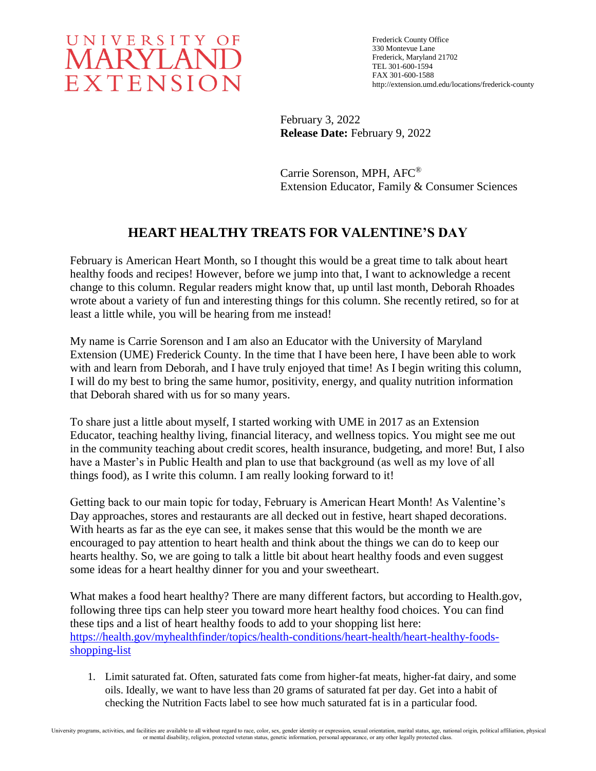

Frederick County Office 330 Montevue Lane Frederick, Maryland 21702 TEL 301-600-1594 FAX 301-600-1588 http://extension.umd.edu/locations/frederick-county

February 3, 2022 **Release Date:** February 9, 2022

Carrie Sorenson, MPH, AFC® Extension Educator, Family & Consumer Sciences

# **HEART HEALTHY TREATS FOR VALENTINE'S DAY**

February is American Heart Month, so I thought this would be a great time to talk about heart healthy foods and recipes! However, before we jump into that, I want to acknowledge a recent change to this column. Regular readers might know that, up until last month, Deborah Rhoades wrote about a variety of fun and interesting things for this column. She recently retired, so for at least a little while, you will be hearing from me instead!

My name is Carrie Sorenson and I am also an Educator with the University of Maryland Extension (UME) Frederick County. In the time that I have been here, I have been able to work with and learn from Deborah, and I have truly enjoyed that time! As I begin writing this column, I will do my best to bring the same humor, positivity, energy, and quality nutrition information that Deborah shared with us for so many years.

To share just a little about myself, I started working with UME in 2017 as an Extension Educator, teaching healthy living, financial literacy, and wellness topics. You might see me out in the community teaching about credit scores, health insurance, budgeting, and more! But, I also have a Master's in Public Health and plan to use that background (as well as my love of all things food), as I write this column. I am really looking forward to it!

Getting back to our main topic for today, February is American Heart Month! As Valentine's Day approaches, stores and restaurants are all decked out in festive, heart shaped decorations. With hearts as far as the eye can see, it makes sense that this would be the month we are encouraged to pay attention to heart health and think about the things we can do to keep our hearts healthy. So, we are going to talk a little bit about heart healthy foods and even suggest some ideas for a heart healthy dinner for you and your sweetheart.

What makes a food heart healthy? There are many different factors, but according to Health.gov, following three tips can help steer you toward more heart healthy food choices. You can find these tips and a list of heart healthy foods to add to your shopping list here: [https://health.gov/myhealthfinder/topics/health-conditions/heart-health/heart-healthy-foods](https://health.gov/myhealthfinder/topics/health-conditions/heart-health/heart-healthy-foods-shopping-list)[shopping-list](https://health.gov/myhealthfinder/topics/health-conditions/heart-health/heart-healthy-foods-shopping-list)

1. Limit saturated fat. Often, saturated fats come from higher-fat meats, higher-fat dairy, and some oils. Ideally, we want to have less than 20 grams of saturated fat per day. Get into a habit of checking the Nutrition Facts label to see how much saturated fat is in a particular food.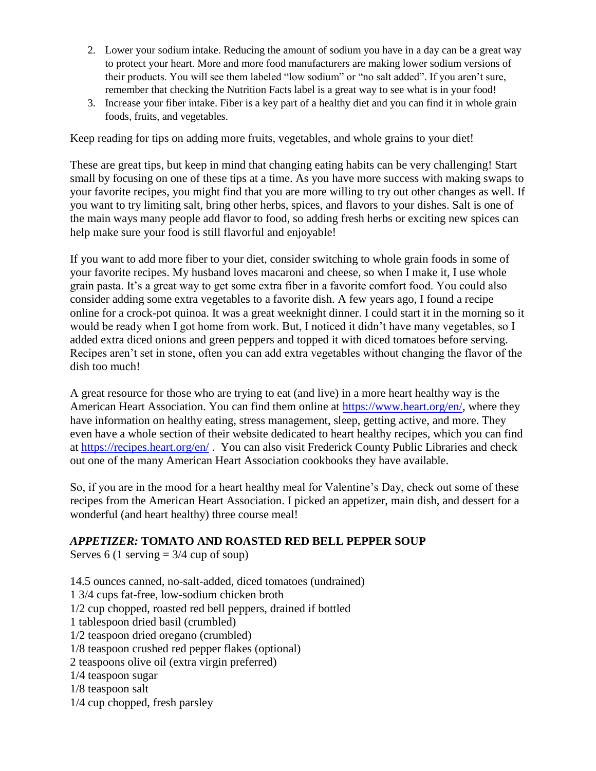- 2. Lower your sodium intake. Reducing the amount of sodium you have in a day can be a great way to protect your heart. More and more food manufacturers are making lower sodium versions of their products. You will see them labeled "low sodium" or "no salt added". If you aren't sure, remember that checking the Nutrition Facts label is a great way to see what is in your food!
- 3. Increase your fiber intake. Fiber is a key part of a healthy diet and you can find it in whole grain foods, fruits, and vegetables.

Keep reading for tips on adding more fruits, vegetables, and whole grains to your diet!

These are great tips, but keep in mind that changing eating habits can be very challenging! Start small by focusing on one of these tips at a time. As you have more success with making swaps to your favorite recipes, you might find that you are more willing to try out other changes as well. If you want to try limiting salt, bring other herbs, spices, and flavors to your dishes. Salt is one of the main ways many people add flavor to food, so adding fresh herbs or exciting new spices can help make sure your food is still flavorful and enjoyable!

If you want to add more fiber to your diet, consider switching to whole grain foods in some of your favorite recipes. My husband loves macaroni and cheese, so when I make it, I use whole grain pasta. It's a great way to get some extra fiber in a favorite comfort food. You could also consider adding some extra vegetables to a favorite dish. A few years ago, I found a recipe online for a crock-pot quinoa. It was a great weeknight dinner. I could start it in the morning so it would be ready when I got home from work. But, I noticed it didn't have many vegetables, so I added extra diced onions and green peppers and topped it with diced tomatoes before serving. Recipes aren't set in stone, often you can add extra vegetables without changing the flavor of the dish too much!

A great resource for those who are trying to eat (and live) in a more heart healthy way is the American Heart Association. You can find them online at [https://www.heart.org/en/,](https://www.heart.org/en/) where they have information on healthy eating, stress management, sleep, getting active, and more. They even have a whole section of their website dedicated to heart healthy recipes, which you can find at<https://recipes.heart.org/en/> . You can also visit Frederick County Public Libraries and check out one of the many American Heart Association cookbooks they have available.

So, if you are in the mood for a heart healthy meal for Valentine's Day, check out some of these recipes from the American Heart Association. I picked an appetizer, main dish, and dessert for a wonderful (and heart healthy) three course meal!

### *APPETIZER:* **TOMATO AND ROASTED RED BELL PEPPER SOUP**

Serves 6 (1 serving  $= 3/4$  cup of soup)

14.5 ounces canned, no-salt-added, diced tomatoes (undrained) 1 3/4 cups fat-free, low-sodium chicken broth 1/2 cup chopped, roasted red bell peppers, drained if bottled 1 tablespoon dried basil (crumbled) 1/2 teaspoon dried oregano (crumbled) 1/8 teaspoon crushed red pepper flakes (optional) 2 teaspoons olive oil (extra virgin preferred) 1/4 teaspoon sugar 1/8 teaspoon salt 1/4 cup chopped, fresh parsley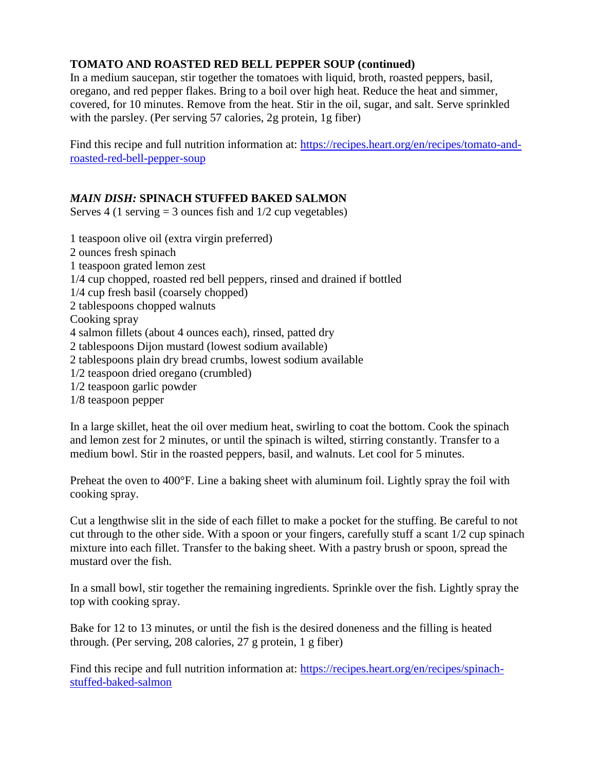## **TOMATO AND ROASTED RED BELL PEPPER SOUP (continued)**

In a medium saucepan, stir together the tomatoes with liquid, broth, roasted peppers, basil, oregano, and red pepper flakes. Bring to a boil over high heat. Reduce the heat and simmer, covered, for 10 minutes. Remove from the heat. Stir in the oil, sugar, and salt. Serve sprinkled with the parsley. (Per serving 57 calories, 2g protein, 1g fiber)

Find this recipe and full nutrition information at: [https://recipes.heart.org/en/recipes/tomato-and](https://recipes.heart.org/en/recipes/tomato-and-roasted-red-bell-pepper-soup)[roasted-red-bell-pepper-soup](https://recipes.heart.org/en/recipes/tomato-and-roasted-red-bell-pepper-soup)

## *MAIN DISH:* **SPINACH STUFFED BAKED SALMON**

Serves 4 (1 serving  $=$  3 ounces fish and  $1/2$  cup vegetables)

1 teaspoon olive oil (extra virgin preferred) 2 ounces fresh spinach 1 teaspoon grated lemon zest 1/4 cup chopped, roasted red bell peppers, rinsed and drained if bottled 1/4 cup fresh basil (coarsely chopped) 2 tablespoons chopped walnuts Cooking spray 4 salmon fillets (about 4 ounces each), rinsed, patted dry 2 tablespoons Dijon mustard (lowest sodium available) 2 tablespoons plain dry bread crumbs, lowest sodium available 1/2 teaspoon dried oregano (crumbled) 1/2 teaspoon garlic powder

1/8 teaspoon pepper

In a large skillet, heat the oil over medium heat, swirling to coat the bottom. Cook the spinach and lemon zest for 2 minutes, or until the spinach is wilted, stirring constantly. Transfer to a medium bowl. Stir in the roasted peppers, basil, and walnuts. Let cool for 5 minutes.

Preheat the oven to 400°F. Line a baking sheet with aluminum foil. Lightly spray the foil with cooking spray.

Cut a lengthwise slit in the side of each fillet to make a pocket for the stuffing. Be careful to not cut through to the other side. With a spoon or your fingers, carefully stuff a scant 1/2 cup spinach mixture into each fillet. Transfer to the baking sheet. With a pastry brush or spoon, spread the mustard over the fish.

In a small bowl, stir together the remaining ingredients. Sprinkle over the fish. Lightly spray the top with cooking spray.

Bake for 12 to 13 minutes, or until the fish is the desired doneness and the filling is heated through. (Per serving, 208 calories, 27 g protein, 1 g fiber)

Find this recipe and full nutrition information at: [https://recipes.heart.org/en/recipes/spinach](https://recipes.heart.org/en/recipes/spinach-stuffed-baked-salmon)[stuffed-baked-salmon](https://recipes.heart.org/en/recipes/spinach-stuffed-baked-salmon)